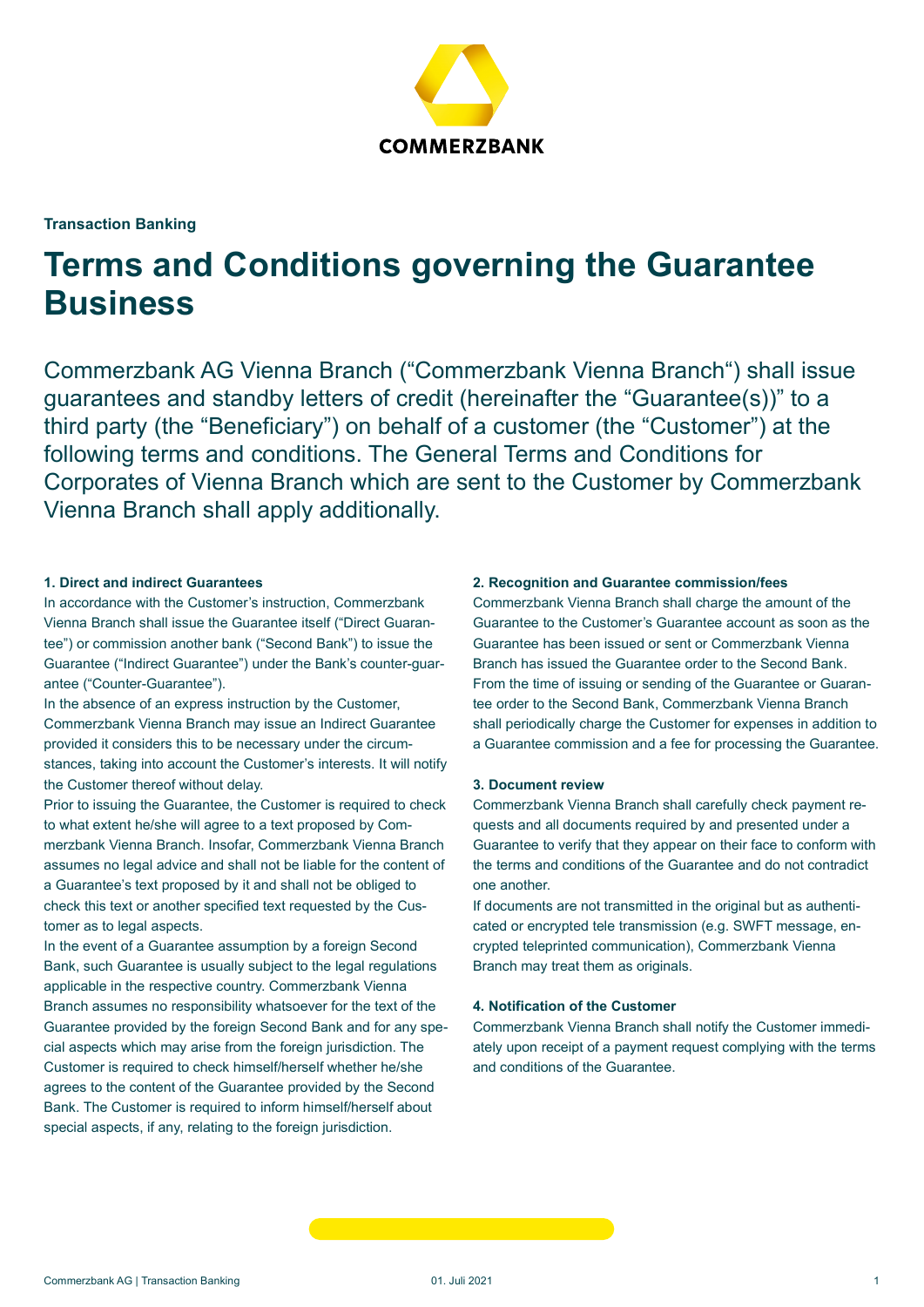

# Transaction Banking

# Terms and Conditions governing the Guarantee **Business**

Commerzbank AG Vienna Branch ("Commerzbank Vienna Branch") shall issue guarantees and standby letters of credit (hereinafter the "Guarantee(s))" to a third party (the "Beneficiary") on behalf of a customer (the "Customer") at the following terms and conditions. The General Terms and Conditions for Corporates of Vienna Branch which are sent to the Customer by Commerzbank Vienna Branch shall apply additionally.

## 1. Direct and indirect Guarantees

In accordance with the Customer's instruction, Commerzbank Vienna Branch shall issue the Guarantee itself ("Direct Guarantee") or commission another bank ("Second Bank") to issue the Guarantee ("Indirect Guarantee") under the Bank's counter-guarantee ("Counter-Guarantee").

In the absence of an express instruction by the Customer, Commerzbank Vienna Branch may issue an Indirect Guarantee provided it considers this to be necessary under the circumstances, taking into account the Customer's interests. It will notify the Customer thereof without delay.

Prior to issuing the Guarantee, the Customer is required to check to what extent he/she will agree to a text proposed by Commerzbank Vienna Branch. Insofar, Commerzbank Vienna Branch assumes no legal advice and shall not be liable for the content of a Guarantee's text proposed by it and shall not be obliged to check this text or another specified text requested by the Customer as to legal aspects.

In the event of a Guarantee assumption by a foreign Second Bank, such Guarantee is usually subject to the legal regulations applicable in the respective country. Commerzbank Vienna Branch assumes no responsibility whatsoever for the text of the Guarantee provided by the foreign Second Bank and for any special aspects which may arise from the foreign jurisdiction. The Customer is required to check himself/herself whether he/she agrees to the content of the Guarantee provided by the Second Bank. The Customer is required to inform himself/herself about special aspects, if any, relating to the foreign jurisdiction.

# 2. Recognition and Guarantee commission/fees

Commerzbank Vienna Branch shall charge the amount of the Guarantee to the Customer's Guarantee account as soon as the Guarantee has been issued or sent or Commerzbank Vienna Branch has issued the Guarantee order to the Second Bank. From the time of issuing or sending of the Guarantee or Guarantee order to the Second Bank, Commerzbank Vienna Branch shall periodically charge the Customer for expenses in addition to a Guarantee commission and a fee for processing the Guarantee.

# 3. Document review

Commerzbank Vienna Branch shall carefully check payment requests and all documents required by and presented under a Guarantee to verify that they appear on their face to conform with the terms and conditions of the Guarantee and do not contradict one another.

If documents are not transmitted in the original but as authenticated or encrypted tele transmission (e.g. SWFT message, encrypted teleprinted communication), Commerzbank Vienna Branch may treat them as originals.

## 4. Notification of the Customer

Commerzbank Vienna Branch shall notify the Customer immediately upon receipt of a payment request complying with the terms and conditions of the Guarantee.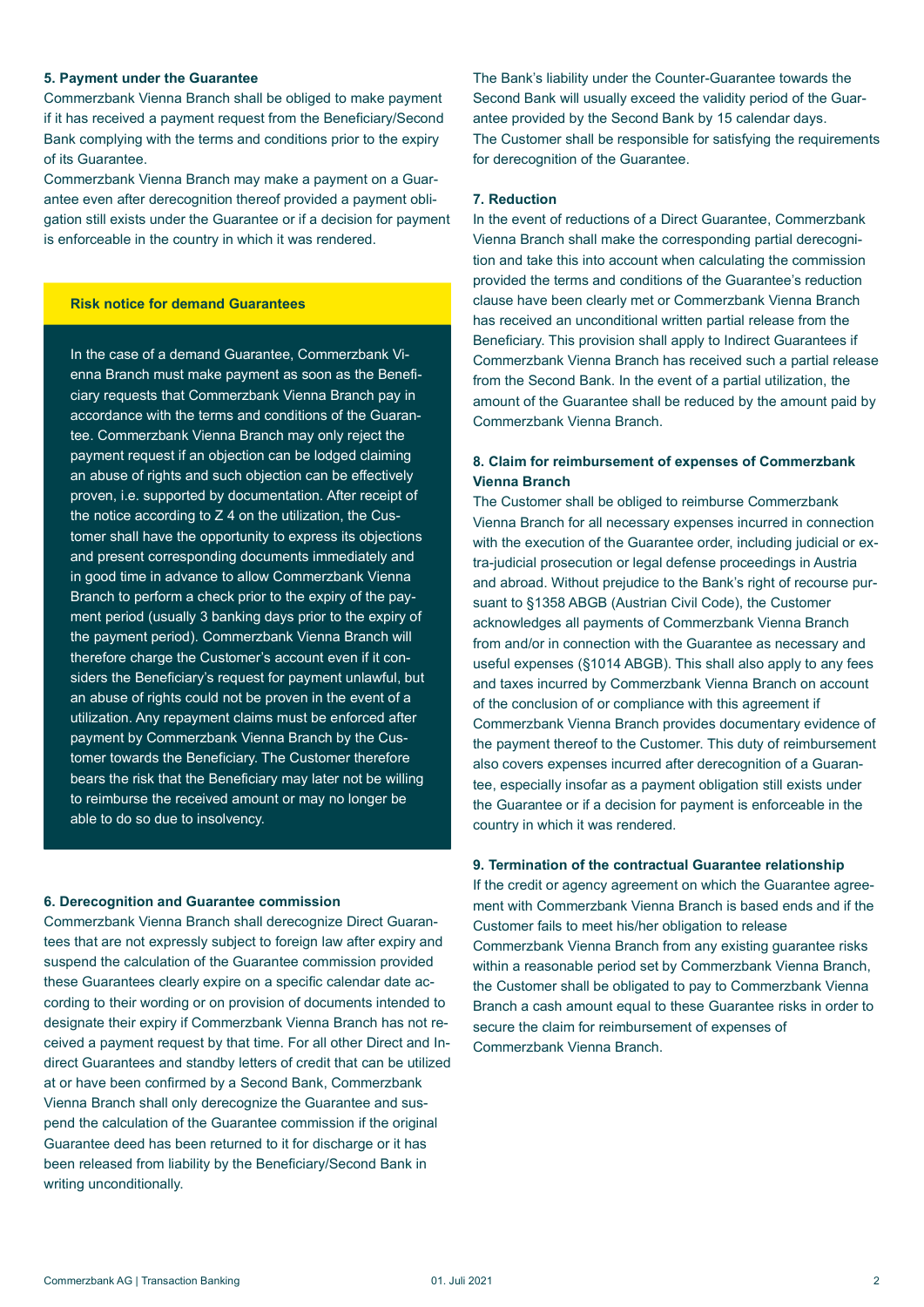## 5. Payment under the Guarantee

Commerzbank Vienna Branch shall be obliged to make payment if it has received a payment request from the Beneficiary/Second Bank complying with the terms and conditions prior to the expiry of its Guarantee.

Commerzbank Vienna Branch may make a payment on a Guarantee even after derecognition thereof provided a payment obligation still exists under the Guarantee or if a decision for payment is enforceable in the country in which it was rendered.

## Risk notice for demand Guarantees

In the case of a demand Guarantee, Commerzbank Vienna Branch must make payment as soon as the Beneficiary requests that Commerzbank Vienna Branch pay in accordance with the terms and conditions of the Guarantee. Commerzbank Vienna Branch may only reject the payment request if an objection can be lodged claiming an abuse of rights and such objection can be effectively proven, i.e. supported by documentation. After receipt of the notice according to Z 4 on the utilization, the Customer shall have the opportunity to express its objections and present corresponding documents immediately and in good time in advance to allow Commerzbank Vienna Branch to perform a check prior to the expiry of the payment period (usually 3 banking days prior to the expiry of the payment period). Commerzbank Vienna Branch will therefore charge the Customer's account even if it considers the Beneficiary's request for payment unlawful, but an abuse of rights could not be proven in the event of a utilization. Any repayment claims must be enforced after payment by Commerzbank Vienna Branch by the Customer towards the Beneficiary. The Customer therefore bears the risk that the Beneficiary may later not be willing to reimburse the received amount or may no longer be able to do so due to insolvency.

#### 6. Derecognition and Guarantee commission

Commerzbank Vienna Branch shall derecognize Direct Guarantees that are not expressly subject to foreign law after expiry and suspend the calculation of the Guarantee commission provided these Guarantees clearly expire on a specific calendar date according to their wording or on provision of documents intended to designate their expiry if Commerzbank Vienna Branch has not received a payment request by that time. For all other Direct and Indirect Guarantees and standby letters of credit that can be utilized at or have been confirmed by a Second Bank, Commerzbank Vienna Branch shall only derecognize the Guarantee and suspend the calculation of the Guarantee commission if the original Guarantee deed has been returned to it for discharge or it has been released from liability by the Beneficiary/Second Bank in writing unconditionally.

The Bank's liability under the Counter-Guarantee towards the Second Bank will usually exceed the validity period of the Guarantee provided by the Second Bank by 15 calendar days. The Customer shall be responsible for satisfying the requirements for derecognition of the Guarantee.

### 7. Reduction

In the event of reductions of a Direct Guarantee, Commerzbank Vienna Branch shall make the corresponding partial derecognition and take this into account when calculating the commission provided the terms and conditions of the Guarantee's reduction clause have been clearly met or Commerzbank Vienna Branch has received an unconditional written partial release from the Beneficiary. This provision shall apply to Indirect Guarantees if Commerzbank Vienna Branch has received such a partial release from the Second Bank. In the event of a partial utilization, the amount of the Guarantee shall be reduced by the amount paid by Commerzbank Vienna Branch.

# 8. Claim for reimbursement of expenses of Commerzbank Vienna Branch

The Customer shall be obliged to reimburse Commerzbank Vienna Branch for all necessary expenses incurred in connection with the execution of the Guarantee order, including judicial or extra-judicial prosecution or legal defense proceedings in Austria and abroad. Without prejudice to the Bank's right of recourse pursuant to §1358 ABGB (Austrian Civil Code), the Customer acknowledges all payments of Commerzbank Vienna Branch from and/or in connection with the Guarantee as necessary and useful expenses (§1014 ABGB). This shall also apply to any fees and taxes incurred by Commerzbank Vienna Branch on account of the conclusion of or compliance with this agreement if Commerzbank Vienna Branch provides documentary evidence of the payment thereof to the Customer. This duty of reimbursement also covers expenses incurred after derecognition of a Guarantee, especially insofar as a payment obligation still exists under the Guarantee or if a decision for payment is enforceable in the country in which it was rendered.

#### 9. Termination of the contractual Guarantee relationship

If the credit or agency agreement on which the Guarantee agreement with Commerzbank Vienna Branch is based ends and if the Customer fails to meet his/her obligation to release Commerzbank Vienna Branch from any existing guarantee risks within a reasonable period set by Commerzbank Vienna Branch, the Customer shall be obligated to pay to Commerzbank Vienna Branch a cash amount equal to these Guarantee risks in order to secure the claim for reimbursement of expenses of Commerzbank Vienna Branch.